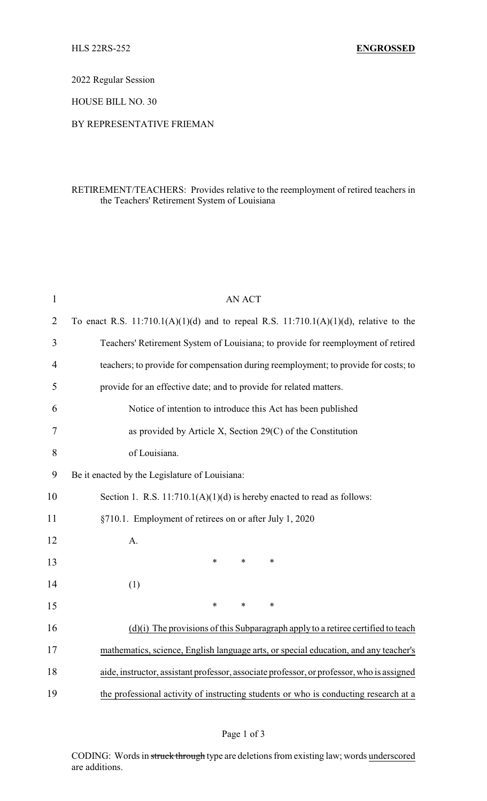2022 Regular Session

HOUSE BILL NO. 30

## BY REPRESENTATIVE FRIEMAN

## RETIREMENT/TEACHERS: Provides relative to the reemployment of retired teachers in the Teachers' Retirement System of Louisiana

| $\mathbf{1}$   | <b>AN ACT</b>                                                                              |  |  |  |  |
|----------------|--------------------------------------------------------------------------------------------|--|--|--|--|
| $\overline{2}$ | To enact R.S. $11:710.1(A)(1)(d)$ and to repeal R.S. $11:710.1(A)(1)(d)$ , relative to the |  |  |  |  |
| 3              | Teachers' Retirement System of Louisiana; to provide for reemployment of retired           |  |  |  |  |
| $\overline{4}$ | teachers; to provide for compensation during reemployment; to provide for costs; to        |  |  |  |  |
| 5              | provide for an effective date; and to provide for related matters.                         |  |  |  |  |
| 6              | Notice of intention to introduce this Act has been published                               |  |  |  |  |
| 7              | as provided by Article X, Section 29(C) of the Constitution                                |  |  |  |  |
| 8              | of Louisiana.                                                                              |  |  |  |  |
| 9              | Be it enacted by the Legislature of Louisiana:                                             |  |  |  |  |
| 10             | Section 1. R.S. $11:710.1(A)(1)(d)$ is hereby enacted to read as follows:                  |  |  |  |  |
| 11             | §710.1. Employment of retirees on or after July 1, 2020                                    |  |  |  |  |
| 12             | A.                                                                                         |  |  |  |  |
| 13             | $\ast$<br>$\ast$<br>*                                                                      |  |  |  |  |
| 14             | (1)                                                                                        |  |  |  |  |
| 15             | $\ast$<br>$\ast$<br>$\ast$                                                                 |  |  |  |  |
| 16             | $(d)(i)$ The provisions of this Subparagraph apply to a retiree certified to teach         |  |  |  |  |
| 17             | mathematics, science, English language arts, or special education, and any teacher's       |  |  |  |  |
| 18             | aide, instructor, assistant professor, associate professor, or professor, who is assigned  |  |  |  |  |
| 19             | the professional activity of instructing students or who is conducting research at a       |  |  |  |  |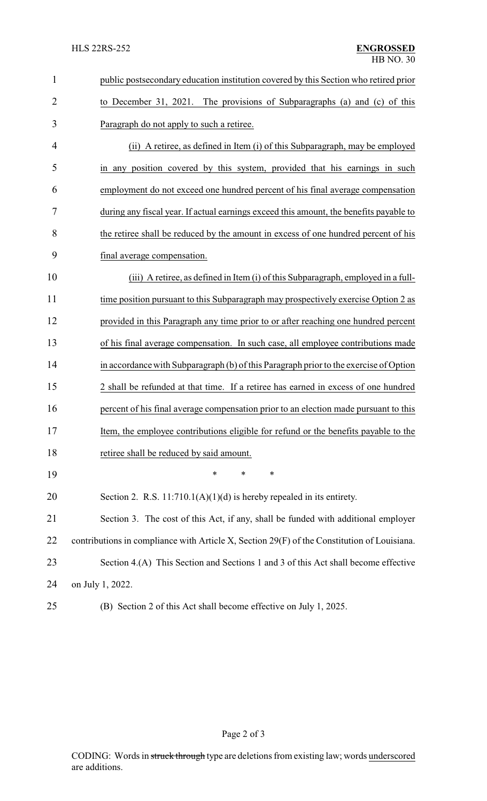| $\mathbf{1}$   | public postsecondary education institution covered by this Section who retired prior        |  |
|----------------|---------------------------------------------------------------------------------------------|--|
| $\overline{2}$ | to December 31, 2021. The provisions of Subparagraphs (a) and (c) of this                   |  |
| 3              | Paragraph do not apply to such a retiree.                                                   |  |
| 4              | (ii) A retiree, as defined in Item (i) of this Subparagraph, may be employed                |  |
| 5              | in any position covered by this system, provided that his earnings in such                  |  |
| 6              | employment do not exceed one hundred percent of his final average compensation              |  |
| 7              | during any fiscal year. If actual earnings exceed this amount, the benefits payable to      |  |
| 8              | the retiree shall be reduced by the amount in excess of one hundred percent of his          |  |
| 9              | final average compensation.                                                                 |  |
| 10             | (iii) A retiree, as defined in Item (i) of this Subparagraph, employed in a full-           |  |
| 11             | time position pursuant to this Subparagraph may prospectively exercise Option 2 as          |  |
| 12             | provided in this Paragraph any time prior to or after reaching one hundred percent          |  |
| 13             | of his final average compensation. In such case, all employee contributions made            |  |
| 14             | in accordance with Subparagraph (b) of this Paragraph prior to the exercise of Option       |  |
| 15             | 2 shall be refunded at that time. If a retiree has earned in excess of one hundred          |  |
| 16             | percent of his final average compensation prior to an election made pursuant to this        |  |
| 17             | Item, the employee contributions eligible for refund or the benefits payable to the         |  |
| 18             | retiree shall be reduced by said amount.                                                    |  |
| 19             | *<br>∗<br>∗                                                                                 |  |
| 20             | Section 2. R.S. $11:710.1(A)(1)(d)$ is hereby repealed in its entirety.                     |  |
| 21             | Section 3. The cost of this Act, if any, shall be funded with additional employer           |  |
| 22             | contributions in compliance with Article X, Section 29(F) of the Constitution of Louisiana. |  |
| 23             | Section 4.(A) This Section and Sections 1 and 3 of this Act shall become effective          |  |
| 24             | on July 1, 2022.                                                                            |  |
| 25             | (B) Section 2 of this Act shall become effective on July 1, 2025.                           |  |